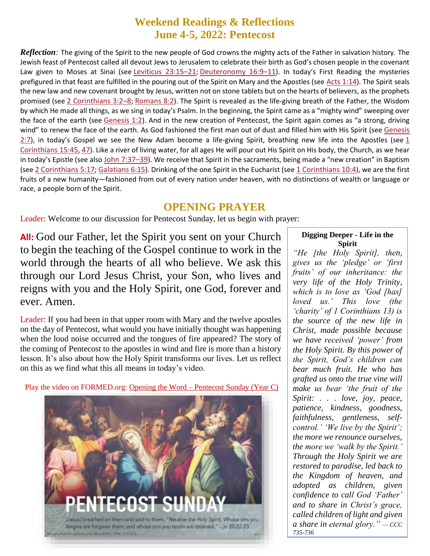# **Weekend Readings & Reflections June 4-5, 2022: Pentecost**

*Reflection:* The giving of the Spirit to the new people of God crowns the mighty acts of the Father in salvation history. The Jewish feast of Pentecost called all devout Jews to Jerusalem to celebrate their birth as God's chosen people in the covenant Law given to Moses at Sinai (see [Leviticus](https://biblia.com/bible/rsvce/Lev%2023.15%E2%80%9321) 23:15–21; [Deuteronomy](https://biblia.com/bible/rsvce/Deut%2016.9%E2%80%9311) 16:9–11). In today's First Reading the mysteries prefigured in that feast are fulfilled in the pouring out of the Spirit on Mary and the Apostles (see Acts [1:14](https://biblia.com/bible/rsvce/Acts%201.14)). The Spirit seals the new law and new covenant brought by Jesus, written not on stone tablets but on the hearts of believers, as the prophets promised (see 2 [Corinthians](https://biblia.com/bible/rsvce/2%20Cor%203.2%E2%80%938) 3:2–8; [Romans](https://biblia.com/bible/rsvce/Rom%208.2) 8:2). The Spirit is revealed as the life-giving breath of the Father, the Wisdom by which He made all things, as we sing in today's Psalm. In the beginning, the Spirit came as a "mighty wind" sweeping over the face of the earth (see [Genesis](https://biblia.com/bible/rsvce/Gen%201.2) 1:2). And in the new creation of Pentecost, the Spirit again comes as "a strong, driving wind" to renew the face of the earth. As God fashioned the first man out of dust and filled him with His Spirit (see [Genesis](https://biblia.com/bible/rsvce/Gen%202.7) [2:7](https://biblia.com/bible/rsvce/Gen%202.7)), in today's Gospel we see the New Adam become a life-giving Spirit, breathing new life into the Apostles (see [1](https://biblia.com/bible/rsvce/1%20Cor%2015.45) [Corinthians](https://biblia.com/bible/rsvce/1%20Cor%2015.45) 15:45, [47](https://biblia.com/bible/rsvce/1%20Corinthians%2015.47)). Like a river of living water, for all ages He will pour out His Spirit on His body, the Church, as we hear in today's Epistle (see also [John](https://biblia.com/bible/rsvce/John%207.37%E2%80%9339) 7:37–39). We receive that Spirit in the sacraments, being made a "new creation" in Baptism (see 2 [Corinthians](https://biblia.com/bible/rsvce/1%20Cor%2010.4) 5:17; [Galatians](https://biblia.com/bible/rsvce/Gal%206.15) 6:15). Drinking of the one Spirit in the Eucharist (see 1 Corinthians 10:4), we are the first fruits of a new humanity—fashioned from out of every nation under heaven, with no distinctions of wealth or language or race, a people born of the Spirit.

#### **OPENING PRAYER**

Leader: Welcome to our discussion for Pentecost Sunday, let us begin with prayer:

**All:** God our Father, let the Spirit you sent on your Church to begin the teaching of the Gospel continue to work in the world through the hearts of all who believe. We ask this through our Lord Jesus Christ, your Son, who lives and reigns with you and the Holy Spirit, one God, forever and ever. Amen.

Leader: If you had been in that upper room with Mary and the twelve apostles on the day of Pentecost, what would you have initially thought was happening when the loud noise occurred and the tongues of fire appeared? The story of the coming of Pentecost to the apostles in wind and fire is more than a history lesson. It's also about how the Holy Spirit transforms our lives. Let us reflect on this as we find what this all means in today's video.

Play the video on FORMED.org: Opening the Word – [Pentecost Sunday \(Year C\)](https://watch.formed.org/opening-the-word-1/season:3/videos/pentecost-sunday-june-9-2019)



#### **Digging Deeper - Life in the Spirit**

*"He [the Holy Spirit], then, gives us the 'pledge' or 'first fruits' of our inheritance: the very life of the Holy Trinity, which is to love as 'God [has] loved us.' This love (the 'charity' of 1 Corinthians 13) is the source of the new life in Christ, made possible because we have received 'power' from the Holy Spirit. By this power of the Spirit, God's children can bear much fruit. He who has grafted us onto the true vine will make us bear 'the fruit of the Spirit: . . . love, joy, peace, patience, kindness, goodness, faithfulness, gentleness, selfcontrol.' 'We live by the Spirit'; the more we renounce ourselves, the more we 'walk by the Spirit.' Through the Holy Spirit we are restored to paradise, led back to the Kingdom of heaven, and adopted as children, given confidence to call God 'Father' and to share in Christ's grace, called children of light and given a share in eternal glory." — CCC 735-736*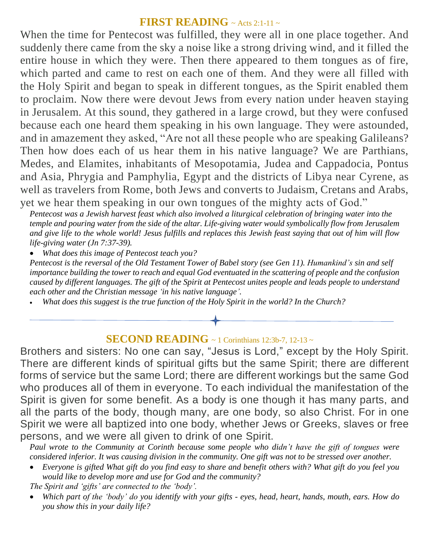### **FIRST READING** ~ Acts 2:1-11 ~

When the time for Pentecost was fulfilled, they were all in one place together. And suddenly there came from the sky a noise like a strong driving wind, and it filled the entire house in which they were. Then there appeared to them tongues as of fire, which parted and came to rest on each one of them. And they were all filled with the Holy Spirit and began to speak in different tongues, as the Spirit enabled them to proclaim. Now there were devout Jews from every nation under heaven staying in Jerusalem. At this sound, they gathered in a large crowd, but they were confused because each one heard them speaking in his own language. They were astounded, and in amazement they asked, "Are not all these people who are speaking Galileans? Then how does each of us hear them in his native language? We are Parthians, Medes, and Elamites, inhabitants of Mesopotamia, Judea and Cappadocia, Pontus and Asia, Phrygia and Pamphylia, Egypt and the districts of Libya near Cyrene, as well as travelers from Rome, both Jews and converts to Judaism, Cretans and Arabs, yet we hear them speaking in our own tongues of the mighty acts of God."

*Pentecost was a Jewish harvest feast which also involved a liturgical celebration of bringing water into the temple and pouring water from the side of the altar. Life-giving water would symbolically flow from Jerusalem and give life to the whole world! Jesus fulfills and replaces this Jewish feast saying that out of him will flow life-giving water (Jn 7:37-39).*

*What does this image of Pentecost teach you?*

*Pentecost is the reversal of the Old Testament Tower of Babel story (see Gen 11). Humankind's sin and self importance building the tower to reach and equal God eventuated in the scattering of people and the confusion caused by different languages. The gift of the Spirit at Pentecost unites people and leads people to understand each other and the Christian message 'in his native language'.* 

*What does this suggest is the true function of the Holy Spirit in the world? In the Church?*

## **SECOND READING** ~ 1 Corinthians 12:3b-7, 12-13 ~

Brothers and sisters: No one can say, "Jesus is Lord," except by the Holy Spirit. There are different kinds of spiritual gifts but the same Spirit; there are different forms of service but the same Lord; there are different workings but the same God who produces all of them in everyone. To each individual the manifestation of the Spirit is given for some benefit. As a body is one though it has many parts, and all the parts of the body, though many, are one body, so also Christ. For in one Spirit we were all baptized into one body, whether Jews or Greeks, slaves or free persons, and we were all given to drink of one Spirit.

*Paul wrote to the Community at Corinth because some people who didn't have the gift of tongues were considered inferior. It was causing division in the community. One gift was not to be stressed over another.* 

 *Everyone is gifted What gift do you find easy to share and benefit others with? What gift do you feel you would like to develop more and use for God and the community?*

*The Spirit and ʻgifts' are connected to the ʻbody'.* 

 *Which part of the ʻbody' do you identify with your gifts - eyes, head, heart, hands, mouth, ears. How do you show this in your daily life?*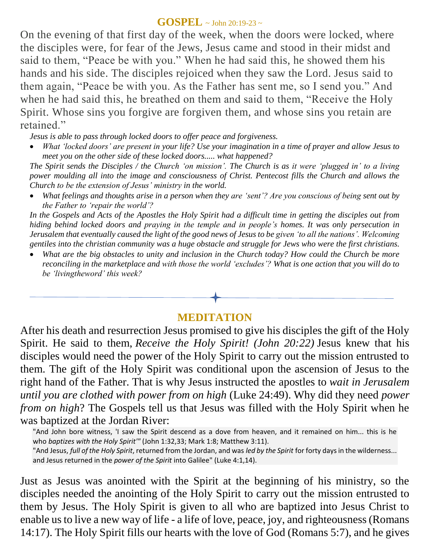#### **GOSPEL**  $\sim$  John 20:19-23  $\sim$

On the evening of that first day of the week, when the doors were locked, where the disciples were, for fear of the Jews, Jesus came and stood in their midst and said to them, "Peace be with you." When he had said this, he showed them his hands and his side. The disciples rejoiced when they saw the Lord. Jesus said to them again, "Peace be with you. As the Father has sent me, so I send you." And when he had said this, he breathed on them and said to them, "Receive the Holy Spirit. Whose sins you forgive are forgiven them, and whose sins you retain are retained."

*Jesus is able to pass through locked doors to offer peace and forgiveness.*

 *What ʻlocked doors' are present in your life? Use your imagination in a time of prayer and allow Jesus to meet you on the other side of these locked doors..... what happened?*

*The Spirit sends the Disciples / the Church ʻon mission'. The Church is as it were ʻplugged in' to a living power moulding all into the image and consciousness of Christ. Pentecost fills the Church and allows the Church to be the extension of Jesus' ministry in the world.* 

 *What feelings and thoughts arise in a person when they are ʻsent'? Are you conscious of being sent out by the Father to ʻrepair the world'?*

*In the Gospels and Acts of the Apostles the Holy Spirit had a difficult time in getting the disciples out from hiding behind locked doors and praying in the temple and in people's homes. It was only persecution in Jerusalem that eventually caused the light of the good news of Jesus to be given ʻto all the nations'. Welcoming gentiles into the christian community was a huge obstacle and struggle for Jews who were the first christians.*

 *What are the big obstacles to unity and inclusion in the Church today? How could the Church be more reconciling in the marketplace and with those the world ʻexcludes'? What is one action that you will do to be 'livingtheword' this week?*

# **MEDITATION**

After his death and resurrection Jesus promised to give his disciples the gift of the Holy Spirit. He said to them, *Receive the Holy Spirit! (John 20:22)* Jesus knew that his disciples would need the power of the Holy Spirit to carry out the mission entrusted to them. The gift of the Holy Spirit was conditional upon the ascension of Jesus to the right hand of the Father. That is why Jesus instructed the apostles to *wait in Jerusalem until you are clothed with power from on high* (Luke 24:49). Why did they need *power from on high*? The Gospels tell us that Jesus was filled with the Holy Spirit when he was baptized at the Jordan River:

"And John bore witness, 'I saw the Spirit descend as a dove from heaven, and it remained on him... this is he who *baptizes with the Holy Spirit'"* (John 1:32,33; Mark 1:8; Matthew 3:11). "And Jesus, *full of the Holy Spirit*, returned from the Jordan, and was *led by the Spirit* for forty days in the wilderness... and Jesus returned in the *power of the Spirit* into Galilee" (Luke 4:1,14).

Just as Jesus was anointed with the Spirit at the beginning of his ministry, so the disciples needed the anointing of the Holy Spirit to carry out the mission entrusted to them by Jesus. The Holy Spirit is given to all who are baptized into Jesus Christ to enable us to live a new way of life - a life of love, peace, joy, and righteousness (Romans 14:17). The Holy Spirit fills our hearts with the love of God (Romans 5:7), and he gives